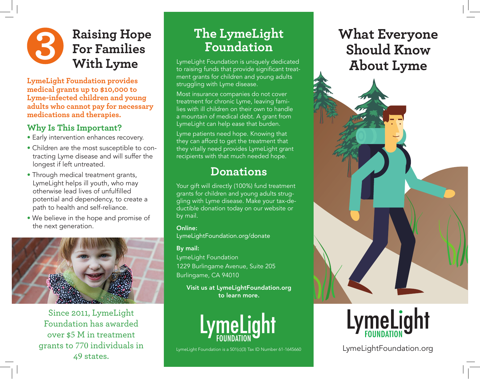## **3 Raising Hope For Families With Lyme**

**LymeLight Foundation provides medical grants up to \$10,000 to Lyme-infected children and young adults who cannot pay for necessary medications and therapies.**

#### **Why Is This Important?**

- Early intervention enhances recovery.
- Children are the most susceptible to contracting Lyme disease and will suffer the longest if left untreated.
- Through medical treatment grants, LymeLight helps ill youth, who may otherwise lead lives of unfulfilled potential and dependency, to create a path to health and self-reliance.
- We believe in the hope and promise of the next generation.



Since 2011, LymeLight Foundation has awarded over \$5 M in treatment grants to 770 individuals in 49 states.

# **The LymeLight Foundation**

LymeLight Foundation is uniquely dedicated to raising funds that provide significant treatment grants for children and young adults struggling with Lyme disease.

Most insurance companies do not cover treatment for chronic Lyme, leaving families with ill children on their own to handle a mountain of medical debt. A grant from LymeLight can help ease that burden.

Lyme patients need hope. Knowing that they can afford to get the treatment that they vitally need provides LymeLight grant recipients with that much needed hope.

# **Donations**

Your gift will directly (100%) fund treatment grants for children and young adults struggling with Lyme disease. Make your tax-deductible donation today on our website or by mail.

Online: LymeLightFoundation.org/donate

#### By mail:

LymeLight Foundation 1229 Burlingame Avenue, Suite 205 Burlingame, CA 94010

Visit us at LymeLightFoundation.org to learn more.



LymeLight Foundation is a 501(c)(3) Tax ID Number 61-1645660

# **What Everyone Should Know About Lyme**



LymeLightFoundation.org